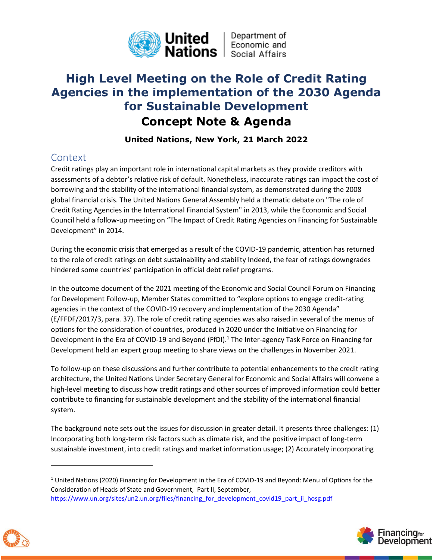

# **High Level Meeting on the Role of Credit Rating Agencies in the implementation of the 2030 Agenda for Sustainable Development**

# **Concept Note & Agenda**

## **United Nations, New York, 21 March 2022**

# **Context**

Credit ratings play an important role in international capital markets as they provide creditors with assessments of a debtor's relative risk of default. Nonetheless, inaccurate ratings can impact the cost of borrowing and the stability of the international financial system, as demonstrated during the 2008 global financial crisis. The United Nations General Assembly held a thematic debate on "The role of Credit Rating Agencies in the International Financial System" in 2013, while the Economic and Social Council held a follow-up meeting on "The Impact of Credit Rating Agencies on Financing for Sustainable Development" in 2014.

During the economic crisis that emerged as a result of the COVID-19 pandemic, attention has returned to the role of credit ratings on debt sustainability and stability Indeed, the fear of ratings downgrades hindered some countries' participation in official debt relief programs.

In the outcome document of the 2021 meeting of the Economic and Social Council Forum on Financing for Development Follow-up, Member States committed to "explore options to engage credit-rating agencies in the context of the COVID-19 recovery and implementation of the 2030 Agenda" (E/FFDF/2017/3, para. 37). The role of credit rating agencies was also raised in several of the menus of options for the consideration of countries, produced in 2020 under the Initiative on Financing for Development in the Era of COVID-19 and Beyond (FfDI).<sup>1</sup> The Inter-agency Task Force on Financing for Development held an expert group meeting to share views on the challenges in November 2021.

To follow-up on these discussions and further contribute to potential enhancements to the credit rating architecture, the United Nations Under Secretary General for Economic and Social Affairs will convene a high-level meeting to discuss how credit ratings and other sources of improved information could better contribute to financing for sustainable development and the stability of the international financial system.

The background note sets out the issues for discussion in greater detail. It presents three challenges: (1) Incorporating both long-term risk factors such as climate risk, and the positive impact of long-term sustainable investment, into credit ratings and market information usage; (2) Accurately incorporating





<sup>1</sup> United Nations (2020) Financing for Development in the Era of COVID-19 and Beyond: Menu of Options for the Consideration of Heads of State and Government, Part II, September, https://www.un.org/sites/un2.un.org/files/financing\_for\_development\_covid19\_part\_ii\_hosg.pdf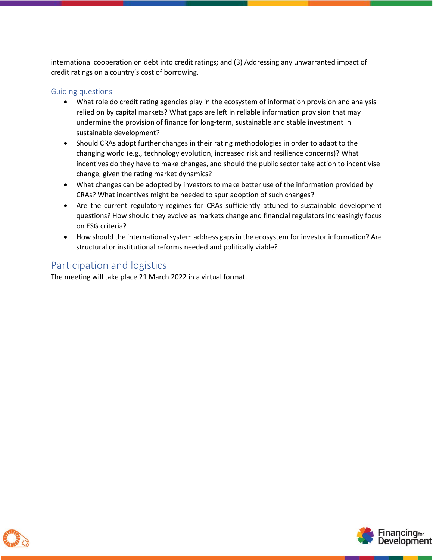international cooperation on debt into credit ratings; and (3) Addressing any unwarranted impact of credit ratings on a country's cost of borrowing.

### Guiding questions

- What role do credit rating agencies play in the ecosystem of information provision and analysis relied on by capital markets? What gaps are left in reliable information provision that may undermine the provision of finance for long-term, sustainable and stable investment in sustainable development?
- Should CRAs adopt further changes in their rating methodologies in order to adapt to the changing world (e.g., technology evolution, increased risk and resilience concerns)? What incentives do they have to make changes, and should the public sector take action to incentivise change, given the rating market dynamics?
- What changes can be adopted by investors to make better use of the information provided by CRAs? What incentives might be needed to spur adoption of such changes?
- Are the current regulatory regimes for CRAs sufficiently attuned to sustainable development questions? How should they evolve as markets change and financial regulators increasingly focus on ESG criteria?
- How should the international system address gaps in the ecosystem for investor information? Are structural or institutional reforms needed and politically viable?

## Participation and logistics

The meeting will take place 21 March 2022 in a virtual format.



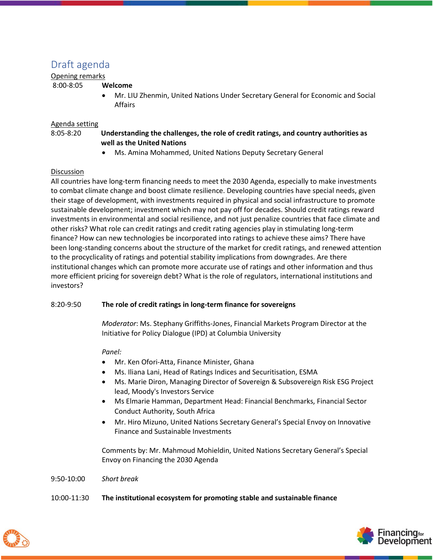## Draft agenda

### Opening remarks

### 8:00-8:05 **Welcome**

• Mr. LIU Zhenmin, United Nations Under Secretary General for Economic and Social Affairs

### Agenda setting

### 8:05-8:20 **Understanding the challenges, the role of credit ratings, and country authorities as well as the United Nations**

• Ms. Amina Mohammed, United Nations Deputy Secretary General

### Discussion

All countries have long-term financing needs to meet the 2030 Agenda, especially to make investments to combat climate change and boost climate resilience. Developing countries have special needs, given their stage of development, with investments required in physical and social infrastructure to promote sustainable development; investment which may not pay off for decades. Should credit ratings reward investments in environmental and social resilience, and not just penalize countries that face climate and other risks? What role can credit ratings and credit rating agencies play in stimulating long-term finance? How can new technologies be incorporated into ratings to achieve these aims? There have been long-standing concerns about the structure of the market for credit ratings, and renewed attention to the procyclicality of ratings and potential stability implications from downgrades. Are there institutional changes which can promote more accurate use of ratings and other information and thus more efficient pricing for sovereign debt? What is the role of regulators, international institutions and investors?

### 8:20-9:50 **The role of credit ratings in long-term finance for sovereigns**

*Moderator*: Ms. Stephany Griffiths-Jones, Financial Markets Program Director at the Initiative for Policy Dialogue (IPD) at Columbia University

### *Panel:*

- Mr. Ken Ofori-Atta, Finance Minister, Ghana
- Ms. Iliana Lani, Head of Ratings Indices and Securitisation, ESMA
- Ms. Marie Diron, Managing Director of Sovereign & Subsovereign Risk ESG Project lead, Moody's Investors Service
- Ms Elmarie Hamman, Department Head: Financial Benchmarks, Financial Sector Conduct Authority, South Africa
- Mr. Hiro Mizuno, United Nations Secretary General's Special Envoy on Innovative Finance and Sustainable Investments

Comments by: Mr. Mahmoud Mohieldin, United Nations Secretary General's Special Envoy on Financing the 2030 Agenda

### 9:50-10:00 *Short break*

### 10:00-11:30 **The institutional ecosystem for promoting stable and sustainable finance**